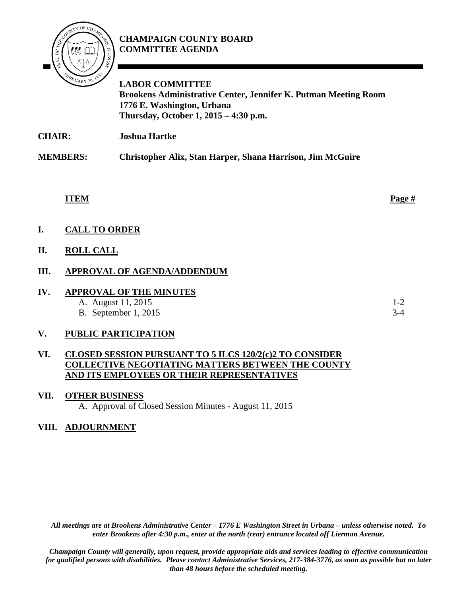# **CHAMPAIGN COUNTY BOARD COMMITTEE AGENDA**



**LABOR COMMITTEE Brookens Administrative Center, Jennifer K. Putman Meeting Room 1776 E. Washington, Urbana Thursday, October 1, 2015 – 4:30 p.m.**

**CHAIR: Joshua Hartke** 

**MEMBERS: Christopher Alix, Stan Harper, Shana Harrison, Jim McGuire**

**ITEM Page #**

**I. CALL TO ORDER**

## **II. ROLL CALL**

## **III. APPROVAL OF AGENDA/ADDENDUM**

| IV | <b>APPROVAL OF THE MINUTES</b> |       |
|----|--------------------------------|-------|
|    | A. August 11, 2015             | $1-2$ |
|    | <b>B.</b> September 1, 2015    | $3-4$ |

#### **V. PUBLIC PARTICIPATION**

#### **VI. CLOSED SESSION PURSUANT TO 5 ILCS 120/2(c)2 TO CONSIDER COLLECTIVE NEGOTIATING MATTERS BETWEEN THE COUNTY AND ITS EMPLOYEES OR THEIR REPRESENTATIVES**

**VII. OTHER BUSINESS** A. Approval of Closed Session Minutes - August 11, 2015

#### **VIII. ADJOURNMENT**

*All meetings are at Brookens Administrative Center – 1776 E Washington Street in Urbana – unless otherwise noted. To enter Brookens after 4:30 p.m., enter at the north (rear) entrance located off Lierman Avenue.* 

*Champaign County will generally, upon request, provide appropriate aids and services leading to effective communication for qualified persons with disabilities. Please contact Administrative Services, 217-384-3776, as soon as possible but no later than 48 hours before the scheduled meeting.*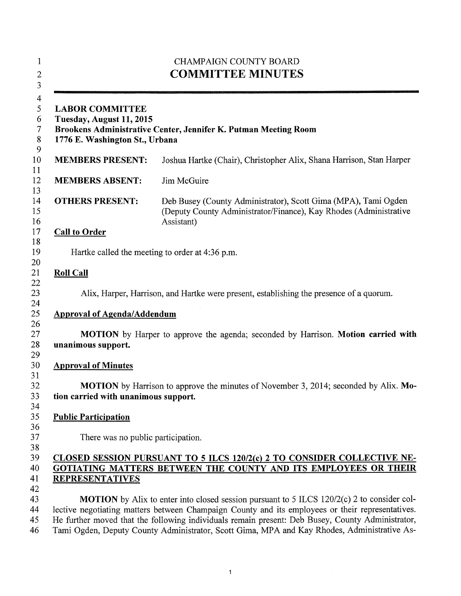| <b>CHAMPAIGN COUNTY BOARD</b><br><b>COMMITTEE MINUTES</b>                            |                                                                                                                                                                                                                                                                                                                                                                                                          |  |
|--------------------------------------------------------------------------------------|----------------------------------------------------------------------------------------------------------------------------------------------------------------------------------------------------------------------------------------------------------------------------------------------------------------------------------------------------------------------------------------------------------|--|
| <b>LABOR COMMITTEE</b><br>Tuesday, August 11, 2015<br>1776 E. Washington St., Urbana | Brookens Administrative Center, Jennifer K. Putman Meeting Room                                                                                                                                                                                                                                                                                                                                          |  |
| <b>MEMBERS PRESENT:</b>                                                              | Joshua Hartke (Chair), Christopher Alix, Shana Harrison, Stan Harper                                                                                                                                                                                                                                                                                                                                     |  |
| <b>MEMBERS ABSENT:</b>                                                               | Jim McGuire                                                                                                                                                                                                                                                                                                                                                                                              |  |
| <b>OTHERS PRESENT:</b>                                                               | Deb Busey (County Administrator), Scott Gima (MPA), Tami Ogden<br>(Deputy County Administrator/Finance), Kay Rhodes (Administrative<br>Assistant)                                                                                                                                                                                                                                                        |  |
| <b>Call to Order</b>                                                                 |                                                                                                                                                                                                                                                                                                                                                                                                          |  |
|                                                                                      | Hartke called the meeting to order at 4:36 p.m.                                                                                                                                                                                                                                                                                                                                                          |  |
| <b>Roll Call</b>                                                                     |                                                                                                                                                                                                                                                                                                                                                                                                          |  |
|                                                                                      | Alix, Harper, Harrison, and Hartke were present, establishing the presence of a quorum.                                                                                                                                                                                                                                                                                                                  |  |
| <b>Approval of Agenda/Addendum</b>                                                   |                                                                                                                                                                                                                                                                                                                                                                                                          |  |
| unanimous support.                                                                   | <b>MOTION</b> by Harper to approve the agenda; seconded by Harrison. <b>Motion carried with</b>                                                                                                                                                                                                                                                                                                          |  |
| <b>Approval of Minutes</b>                                                           |                                                                                                                                                                                                                                                                                                                                                                                                          |  |
| tion carried with unanimous support.                                                 | MOTION by Harrison to approve the minutes of November 3, 2014; seconded by Alix. Mo-                                                                                                                                                                                                                                                                                                                     |  |
| <b>Public Participation</b>                                                          |                                                                                                                                                                                                                                                                                                                                                                                                          |  |
| There was no public participation.                                                   |                                                                                                                                                                                                                                                                                                                                                                                                          |  |
| <b>REPRESENTATIVES</b>                                                               | CLOSED SESSION PURSUANT TO 5 ILCS 120/2(c) 2 TO CONSIDER COLLECTIVE NE-<br>GOTIATING MATTERS BETWEEN THE COUNTY AND ITS EMPLOYEES OR THEIR                                                                                                                                                                                                                                                               |  |
|                                                                                      | <b>MOTION</b> by Alix to enter into closed session pursuant to 5 ILCS 120/2(c) 2 to consider col-<br>lective negotiating matters between Champaign County and its employees or their representatives.<br>He further moved that the following individuals remain present: Deb Busey, County Administrator,<br>Tami Ogden, Deputy County Administrator, Scott Gima, MPA and Kay Rhodes, Administrative As- |  |

1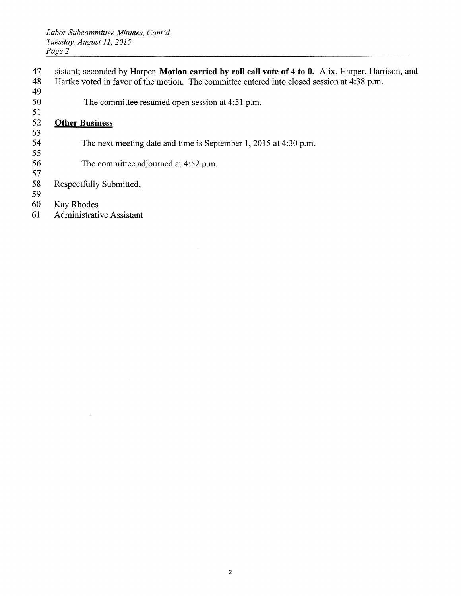- 47 sistant; seconded by Harper. **Motion carried by roll call vote of 4 to 0.** Alix, Harper, Harrison, and
- 48 Hartke voted in favor of the motion. The committee entered into closed session at 4:38 p.m. 49
- 50 The committee resumed open session at 4:51 p.m.

#### 51 52 **Other Business**

- 53 The next meeting date and time is September 1, 2015 at 4:30 p.m.
- 55 The committee adjourned at 4:52 p.m.
- 57 Respectfully Submitted,
- 59
- Kay Rhodes
- 61 Administrative Assistant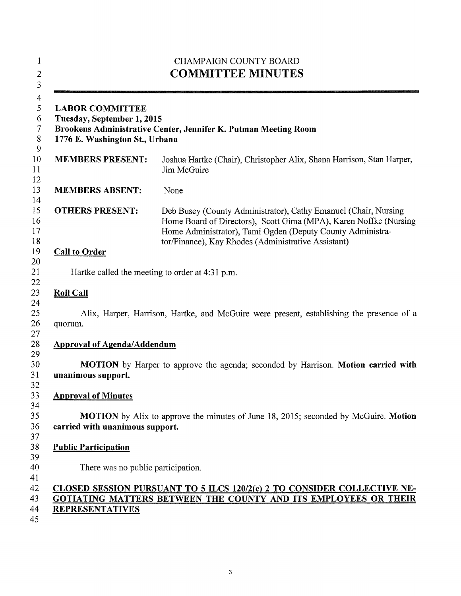|                                                                                                                                                           | <b>CHAMPAIGN COUNTY BOARD</b><br><b>COMMITTEE MINUTES</b>                                                                                                                                                                                                 |  |  |
|-----------------------------------------------------------------------------------------------------------------------------------------------------------|-----------------------------------------------------------------------------------------------------------------------------------------------------------------------------------------------------------------------------------------------------------|--|--|
| <b>LABOR COMMITTEE</b><br>Tuesday, September 1, 2015<br>Brookens Administrative Center, Jennifer K. Putman Meeting Room<br>1776 E. Washington St., Urbana |                                                                                                                                                                                                                                                           |  |  |
| <b>MEMBERS PRESENT:</b>                                                                                                                                   | Joshua Hartke (Chair), Christopher Alix, Shana Harrison, Stan Harper,<br>Jim McGuire                                                                                                                                                                      |  |  |
| <b>MEMBERS ABSENT:</b>                                                                                                                                    | None                                                                                                                                                                                                                                                      |  |  |
| <b>OTHERS PRESENT:</b>                                                                                                                                    | Deb Busey (County Administrator), Cathy Emanuel (Chair, Nursing<br>Home Board of Directors), Scott Gima (MPA), Karen Noffke (Nursing<br>Home Administrator), Tami Ogden (Deputy County Administra-<br>tor/Finance), Kay Rhodes (Administrative Assistant) |  |  |
| <b>Call to Order</b>                                                                                                                                      |                                                                                                                                                                                                                                                           |  |  |
|                                                                                                                                                           | Hartke called the meeting to order at 4:31 p.m.                                                                                                                                                                                                           |  |  |
| <b>Roll Call</b>                                                                                                                                          |                                                                                                                                                                                                                                                           |  |  |
| quorum.                                                                                                                                                   | Alix, Harper, Harrison, Hartke, and McGuire were present, establishing the presence of a                                                                                                                                                                  |  |  |
| <b>Approval of Agenda/Addendum</b>                                                                                                                        |                                                                                                                                                                                                                                                           |  |  |
| unanimous support.                                                                                                                                        | <b>MOTION</b> by Harper to approve the agenda; seconded by Harrison. <b>Motion carried with</b>                                                                                                                                                           |  |  |
| <b>Approval of Minutes</b>                                                                                                                                |                                                                                                                                                                                                                                                           |  |  |
| carried with unanimous support.                                                                                                                           | <b>MOTION</b> by Alix to approve the minutes of June 18, 2015; seconded by McGuire. <b>Motion</b>                                                                                                                                                         |  |  |
| <b>Public Participation</b>                                                                                                                               |                                                                                                                                                                                                                                                           |  |  |
| There was no public participation.                                                                                                                        |                                                                                                                                                                                                                                                           |  |  |
| <b>REPRESENTATIVES</b>                                                                                                                                    | CLOSED SESSION PURSUANT TO 5 ILCS 120/2(c) 2 TO CONSIDER COLLECTIVE NE-<br>GOTIATING MATTERS BETWEEN THE COUNTY AND ITS EMPLOYEES OR THEIR                                                                                                                |  |  |